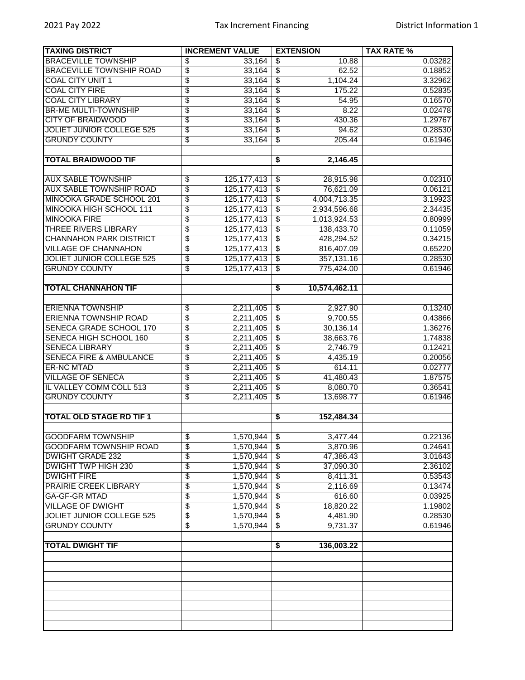| <b>TAXING DISTRICT</b>             | <b>INCREMENT VALUE</b>           | <b>EXTENSION</b>                               | <b>TAX RATE %</b> |
|------------------------------------|----------------------------------|------------------------------------------------|-------------------|
| <b>BRACEVILLE TOWNSHIP</b>         | \$<br>33,164                     | 10.88<br>\$                                    | 0.03282           |
| <b>BRACEVILLE TOWNSHIP ROAD</b>    | \$<br>33,164                     | $\overline{\$}$<br>62.52                       | 0.18852           |
| <b>COAL CITY UNIT 1</b>            | $\overline{\$}$<br>33,164        | $\overline{\$}$<br>1,104.24                    | 3.32962           |
| <b>COAL CITY FIRE</b>              | \$<br>33,164                     | $\overline{\$}$<br>175.22                      | 0.52835           |
| <b>COAL CITY LIBRARY</b>           | \$<br>33,164                     | $\overline{\mathfrak{s}}$<br>54.95             | 0.16570           |
| <b>BR-ME MULTI-TOWNSHIP</b>        | $\overline{\$}$<br>33,164        | $\overline{\$}$<br>8.22                        | 0.02478           |
| <b>CITY OF BRAIDWOOD</b>           | \$<br>33,164                     | $\sqrt{3}$<br>430.36                           | 1.29767           |
| <b>JOLIET JUNIOR COLLEGE 525</b>   | \$<br>33,164                     | $\overline{\mathcal{S}}$<br>94.62              | 0.28530           |
| <b>GRUNDY COUNTY</b>               | \$<br>33,164                     | 205.44<br>\$                                   | 0.61946           |
|                                    |                                  |                                                |                   |
| <b>TOTAL BRAIDWOOD TIF</b>         |                                  | 2,146.45<br>\$                                 |                   |
|                                    |                                  |                                                |                   |
| <b>AUX SABLE TOWNSHIP</b>          | $\overline{\$}$<br>125, 177, 413 | 28,915.98<br>$\overline{\$}$                   | 0.02310           |
| <b>AUX SABLE TOWNSHIP ROAD</b>     | \$<br>125, 177, 413              | $\overline{\$}$<br>76,621.09                   | 0.06121           |
| MINOOKA GRADE SCHOOL 201           | \$<br>125, 177, 413              | $\overline{\$}$<br>4,004,713.35                | 3.19923           |
|                                    |                                  |                                                | 2.34435           |
| <b>MINOOKA HIGH SCHOOL 111</b>     | $\overline{\$}$<br>125, 177, 413 | $\overline{\mathfrak{s}}$<br>2,934,596.68      |                   |
| <b>MINOOKA FIRE</b>                | $\overline{\$}$<br>125, 177, 413 | $\overline{\$}$<br>1,013,924.53                | 0.80999           |
| <b>THREE RIVERS LIBRARY</b>        | \$<br>125, 177, 413              | $\sqrt{3}$<br>138,433.70                       | 0.11059           |
| <b>CHANNAHON PARK DISTRICT</b>     | \$<br>125, 177, 413              | $\overline{\mathcal{E}}$<br>428,294.52         | 0.34215           |
| <b>VILLAGE OF CHANNAHON</b>        | $\overline{\$}$<br>125, 177, 413 | $\overline{\$}$<br>816,407.09                  | 0.65220           |
| <b>JOLIET JUNIOR COLLEGE 525</b>   | $\overline{\$}$<br>125, 177, 413 | 357,131.16<br>$\overline{\mathcal{S}}$         | 0.28530           |
| <b>GRUNDY COUNTY</b>               | \$<br>125, 177, 413              | $\overline{\mathcal{S}}$<br>775,424.00         | 0.61946           |
|                                    |                                  |                                                |                   |
| <b>TOTAL CHANNAHON TIF</b>         |                                  | 10,574,462.11<br>\$                            |                   |
|                                    |                                  |                                                |                   |
| <b>ERIENNA TOWNSHIP</b>            | 2,211,405<br>\$                  | 2,927.90<br>$\overline{\mathbf{e}}$            | 0.13240           |
| <b>ERIENNA TOWNSHIP ROAD</b>       | \$<br>2,211,405                  | $\overline{\mathfrak{s}}$<br>9,700.55          | 0.43866           |
| SENECA GRADE SCHOOL 170            | $\overline{\$}$<br>2,211,405     | $\overline{\$}$<br>30,136.14                   | 1.36276           |
| SENECA HIGH SCHOOL 160             | \$<br>2,211,405                  | $\overline{\mathcal{E}}$<br>38,663.76          | 1.74838           |
| <b>SENECA LIBRARY</b>              | \$<br>2,211,405                  | $\overline{\$}$<br>2,746.79                    | 0.12421           |
| <b>SENECA FIRE &amp; AMBULANCE</b> | $\overline{\$}$<br>2,211,405     | $\overline{\$}$<br>4,435.19                    | 0.20056           |
| <b>ER-NC MTAD</b>                  | \$<br>2,211,405                  | $\overline{\boldsymbol{\mathsf{s}}}$<br>614.11 | 0.02777           |
| <b>VILLAGE OF SENECA</b>           | \$<br>2,211,405                  | \$<br>41,480.43                                | 1.87575           |
| IL VALLEY COMM COLL 513            | $\overline{\$}$<br>2,211,405     | 8,080.70<br>\$                                 | 0.36541           |
| <b>GRUNDY COUNTY</b>               | $\overline{\$}$<br>2,211,405     | $\overline{\$}$<br>13,698.77                   | 0.61946           |
|                                    |                                  |                                                |                   |
| <b>TOTAL OLD STAGE RD TIF 1</b>    |                                  | 152,484.34<br>\$                               |                   |
|                                    |                                  |                                                |                   |
| <b>GOODFARM TOWNSHIP</b>           | \$<br>1,570,944                  | $\overline{\mathcal{F}}$<br>3,477.44           | 0.22136           |
| <b>GOODFARM TOWNSHIP ROAD</b>      | \$<br>1,570,944                  | 3,870.96<br>\$                                 | 0.24641           |
| <b>DWIGHT GRADE 232</b>            | \$<br>1,570,944                  | $\overline{\mathcal{F}}$<br>47,386.43          | 3.01643           |
| <b>DWIGHT TWP HIGH 230</b>         | $\overline{\$}$<br>1,570,944     | 37,090.30<br>\$                                | 2.36102           |
| <b>DWIGHT FIRE</b>                 | $\overline{\$}$<br>1,570,944     | $\overline{\mathcal{S}}$<br>8,411.31           | 0.53543           |
| <b>PRAIRIE CREEK LIBRARY</b>       | \$<br>1,570,944                  | \$<br>2,116.69                                 | 0.13474           |
| <b>GA-GF-GR MTAD</b>               | \$<br>1,570,944                  | 616.60<br>\$                                   | 0.03925           |
| <b>VILLAGE OF DWIGHT</b>           | $\overline{\$}$<br>1,570,944     | 18,820.22<br>\$                                | 1.19802           |
| <b>JOLIET JUNIOR COLLEGE 525</b>   | \$<br>1,570,944                  | \$<br>4,481.90                                 | 0.28530           |
| <b>GRUNDY COUNTY</b>               | $\overline{\$}$<br>1,570,944     | $\overline{\$}$<br>9,731.37                    | 0.61946           |
|                                    |                                  |                                                |                   |
| <b>TOTAL DWIGHT TIF</b>            |                                  | 136,003.22<br>\$                               |                   |
|                                    |                                  |                                                |                   |
|                                    |                                  |                                                |                   |
|                                    |                                  |                                                |                   |
|                                    |                                  |                                                |                   |
|                                    |                                  |                                                |                   |
|                                    |                                  |                                                |                   |
|                                    |                                  |                                                |                   |
|                                    |                                  |                                                |                   |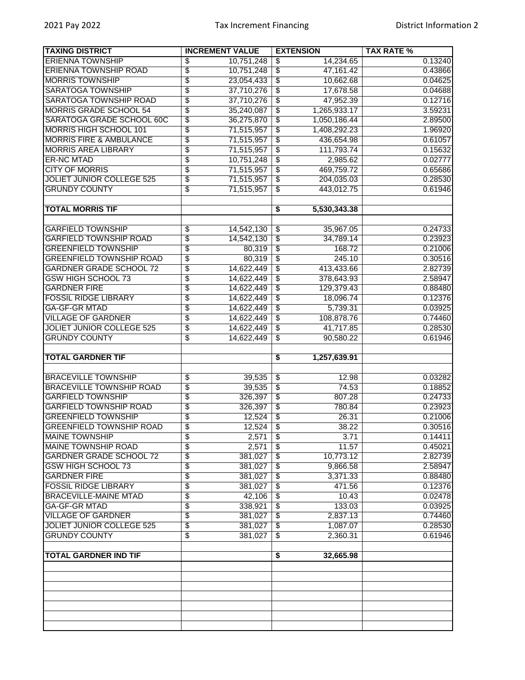| <b>TAXING DISTRICT</b>             | <b>INCREMENT VALUE</b>        | <b>EXTENSION</b>                           | <b>TAX RATE %</b> |
|------------------------------------|-------------------------------|--------------------------------------------|-------------------|
| <b>ERIENNA TOWNSHIP</b>            | \$<br>10,751,248              | 14,234.65<br>\$                            | 0.13240           |
| <b>ERIENNA TOWNSHIP ROAD</b>       | \$<br>10,751,248              | $\overline{\$}$<br>47,161.42               | 0.43866           |
| <b>MORRIS TOWNSHIP</b>             | \$<br>23,054,433              | $\overline{\$}$<br>10,662.68               | 0.04625           |
| <b>SARATOGA TOWNSHIP</b>           | \$<br>37,710,276              | $\overline{\$}$<br>17,678.58               | 0.04688           |
| <b>SARATOGA TOWNSHIP ROAD</b>      | \$<br>37,710,276              | $\overline{\$}$<br>47,952.39               | 0.12716           |
| <b>MORRIS GRADE SCHOOL 54</b>      | $\overline{\$}$<br>35,240,087 | $\overline{\$}$<br>1,265,933.17            | 3.59231           |
| SARATOGA GRADE SCHOOL 60C          | \$<br>36,275,870              | $\overline{\$}$<br>1,050,186.44            | 2.89500           |
| <b>MORRIS HIGH SCHOOL 101</b>      | \$<br>71,515,957              | $\overline{\$}$<br>1,408,292.23            | 1.96920           |
| <b>MORRIS FIRE &amp; AMBULANCE</b> | \$<br>71,515,957              | $\overline{\$}$<br>436,654.98              | 0.61057           |
| <b>MORRIS AREA LIBRARY</b>         | \$<br>71,515,957              | $\overline{\mathcal{E}}$<br>111,793.74     | 0.15632           |
| <b>ER-NC MTAD</b>                  | \$<br>10,751,248              | $\overline{\mathcal{E}}$<br>2,985.62       | 0.02777           |
| <b>CITY OF MORRIS</b>              | \$<br>71,515,957              | $\overline{\$}$<br>469,759.72              | 0.65686           |
| <b>JOLIET JUNIOR COLLEGE 525</b>   | \$<br>71,515,957              | $\overline{\$}$<br>204,035.03              | 0.28530           |
| <b>GRUNDY COUNTY</b>               | \$<br>71,515,957              | $\overline{\$}$<br>443,012.75              | 0.61946           |
|                                    |                               |                                            |                   |
| <b>TOTAL MORRIS TIF</b>            |                               | 5,530,343.38<br>\$                         |                   |
|                                    |                               |                                            |                   |
| <b>GARFIELD TOWNSHIP</b>           | \$<br>14,542,130              | 35,967.05<br>\$                            | 0.24733           |
| <b>GARFIELD TOWNSHIP ROAD</b>      | \$<br>14,542,130              | $\overline{\$}$<br>34,789.14               | 0.23923           |
| <b>GREENFIELD TOWNSHIP</b>         | \$<br>80,319                  | $\overline{\$}$<br>168.72                  | 0.21006           |
| <b>GREENFIELD TOWNSHIP ROAD</b>    | \$<br>80,319                  | $\overline{\$}$<br>245.10                  | 0.30516           |
| <b>GARDNER GRADE SCHOOL 72</b>     | \$<br>14,622,449              | \$<br>413,433.66                           | 2.82739           |
| <b>GSW HIGH SCHOOL 73</b>          | \$<br>14,622,449              | 378,643.93<br>\$                           | 2.58947           |
| <b>GARDNER FIRE</b>                | \$<br>14,622,449              | $\overline{\$}$<br>129,379.43              | 0.88480           |
| <b>FOSSIL RIDGE LIBRARY</b>        | \$<br>14,622,449              | $\overline{\mathcal{L}}$<br>18,096.74      | 0.12376           |
| <b>GA-GF-GR MTAD</b>               | \$<br>14,622,449              | \$<br>5,739.31                             | 0.03925           |
| <b>VILLAGE OF GARDNER</b>          | \$<br>14,622,449              | $\overline{\$}$<br>108,878.76              | 0.74460           |
| <b>JOLIET JUNIOR COLLEGE 525</b>   | $\overline{\$}$<br>14,622,449 | $\overline{\$}$<br>41,717.85               | 0.28530           |
| <b>GRUNDY COUNTY</b>               | \$<br>14,622,449              | 90,580.22<br>$\sqrt[6]{\frac{2}{5}}$       | 0.61946           |
|                                    |                               |                                            |                   |
| <b>TOTAL GARDNER TIF</b>           |                               | 1,257,639.91<br>\$                         |                   |
|                                    |                               |                                            |                   |
| <b>BRACEVILLE TOWNSHIP</b>         | \$<br>39,535                  | \$<br>12.98                                | 0.03282           |
| <b>BRACEVILLE TOWNSHIP ROAD</b>    | \$<br>39,535                  | $\overline{\$}$<br>74.53                   | 0.18852           |
| <b>GARFIELD TOWNSHIP</b>           | \$<br>326,397                 | 807.28<br>$\overline{\mathcal{E}}$         | 0.24733           |
| <b>GARFIELD TOWNSHIP ROAD</b>      | \$<br>326,397                 | $\overline{\boldsymbol{\theta}}$<br>780.84 | 0.23923           |
| <b>GREENFIELD TOWNSHIP</b>         | \$<br>12,524                  | \$<br>26.31                                | 0.21006           |
| <b>GREENFIELD TOWNSHIP ROAD</b>    | \$<br>12,524                  | $\overline{\mathfrak{s}}$<br>38.22         | 0.30516           |
| <b>MAINE TOWNSHIP</b>              | \$<br>2,571                   | $\overline{\$}$<br>3.71                    | 0.14411           |
| <b>MAINE TOWNSHIP ROAD</b>         | \$<br>2,571                   | $\overline{\mathcal{S}}$<br>11.57          | 0.45021           |
| <b>GARDNER GRADE SCHOOL 72</b>     | \$<br>381,027                 | 10,773.12<br>$\overline{\$}$               | 2.82739           |
| <b>GSW HIGH SCHOOL 73</b>          | \$<br>381,027                 | $\overline{\$}$<br>9,866.58                | 2.58947           |
| <b>GARDNER FIRE</b>                | \$<br>381,027                 | $\overline{\mathcal{S}}$<br>3,371.33       | 0.88480           |
| <b>FOSSIL RIDGE LIBRARY</b>        | \$<br>381,027                 | $\overline{\$}$<br>471.56                  | 0.12376           |
| <b>BRACEVILLE-MAINE MTAD</b>       | \$<br>42,106                  | 10.43<br>\$                                | 0.02478           |
| <b>GA-GF-GR MTAD</b>               | \$<br>338,921                 | 133.03<br>\$                               | 0.03925           |
| <b>VILLAGE OF GARDNER</b>          | \$<br>381,027                 | 2,837.13<br>\$                             | 0.74460           |
| <b>JOLIET JUNIOR COLLEGE 525</b>   | \$<br>381,027                 | 1,087.07<br>\$                             | 0.28530           |
| <b>GRUNDY COUNTY</b>               | \$<br>381,027                 | \$<br>2,360.31                             | 0.61946           |
|                                    |                               |                                            |                   |
| <b>TOTAL GARDNER IND TIF</b>       |                               | \$<br>32,665.98                            |                   |
|                                    |                               |                                            |                   |
|                                    |                               |                                            |                   |
|                                    |                               |                                            |                   |
|                                    |                               |                                            |                   |
|                                    |                               |                                            |                   |
|                                    |                               |                                            |                   |
|                                    |                               |                                            |                   |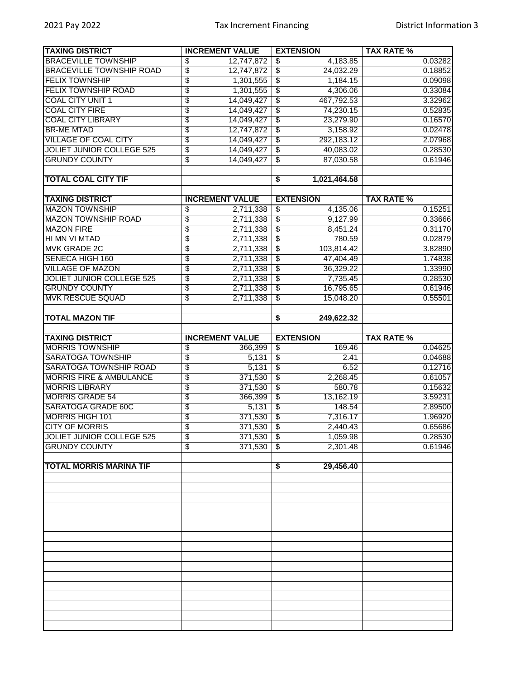| <b>TAXING DISTRICT</b>             | <b>INCREMENT VALUE</b>        | <b>EXTENSION</b>                                     | <b>TAX RATE %</b> |
|------------------------------------|-------------------------------|------------------------------------------------------|-------------------|
| <b>BRACEVILLE TOWNSHIP</b>         | \$<br>12,747,872              | 4,183.85<br>\$                                       | 0.03282           |
| <b>BRACEVILLE TOWNSHIP ROAD</b>    | $\overline{\$}$<br>12,747,872 | $\overline{\$}$<br>24,032.29                         | 0.18852           |
| <b>FELIX TOWNSHIP</b>              | \$<br>1,301,555               | $\overline{\$}$<br>1,184.15                          | 0.09098           |
| <b>FELIX TOWNSHIP ROAD</b>         | \$<br>1,301,555               | $\overline{\mathcal{E}}$<br>4,306.06                 | 0.33084           |
| <b>COAL CITY UNIT 1</b>            | \$<br>14,049,427              | $\overline{\$}$<br>467,792.53                        | 3.32962           |
| <b>COAL CITY FIRE</b>              | \$<br>14,049,427              | $\overline{\$}$<br>74,230.15                         | 0.52835           |
| <b>COAL CITY LIBRARY</b>           | \$<br>14,049,427              | $\overline{\mathcal{E}}$<br>23,279.90                | 0.16570           |
| <b>BR-ME MTAD</b>                  | \$<br>12,747,872              | $\overline{\$}$<br>3,158.92                          | 0.02478           |
| <b>VILLAGE OF COAL CITY</b>        | \$<br>14,049,427              | $\overline{\$}$<br>292,183.12                        | 2.07968           |
| <b>JOLIET JUNIOR COLLEGE 525</b>   | $\overline{\$}$<br>14,049,427 | $\overline{\$}$<br>40,083.02                         | 0.28530           |
| <b>GRUNDY COUNTY</b>               | \$<br>14,049,427              | 87,030.58<br>\$                                      | 0.61946           |
|                                    |                               |                                                      |                   |
| <b>TOTAL COAL CITY TIF</b>         |                               | 1,021,464.58<br>$\overline{\boldsymbol{\mathsf{s}}}$ |                   |
|                                    |                               |                                                      |                   |
| <b>TAXING DISTRICT</b>             | <b>INCREMENT VALUE</b>        | <b>EXTENSION</b>                                     | <b>TAX RATE %</b> |
| <b>MAZON TOWNSHIP</b>              | 2,711,338<br>\$               | 4,135.06<br>ऊ                                        | 0.15251           |
| <b>MAZON TOWNSHIP ROAD</b>         | \$<br>2,711,338               | $\overline{\$}$<br>9,127.99                          | 0.33666           |
| <b>MAZON FIRE</b>                  | \$<br>2,711,338               | $\overline{\mathcal{E}}$<br>8,451.24                 | 0.31170           |
| HI MN VI MTAD                      | \$<br>2,711,338               | $\overline{\mathcal{E}}$<br>780.59                   | 0.02879           |
| <b>MVK GRADE 2C</b>                | $\overline{\$}$<br>2,711,338  | $\overline{\$}$<br>103,814.42                        | 3.82890           |
| <b>SENECA HIGH 160</b>             | $\overline{\$}$<br>2,711,338  | $\overline{\mathcal{L}}$<br>47,404.49                | 1.74838           |
| <b>VILLAGE OF MAZON</b>            | \$<br>2,711,338               | $\overline{\mathcal{S}}$<br>36,329.22                | 1.33990           |
| <b>JOLIET JUNIOR COLLEGE 525</b>   | \$<br>2,711,338               | $\overline{\mathfrak{s}}$<br>7,735.45                | 0.28530           |
| <b>GRUNDY COUNTY</b>               | $\overline{\$}$<br>2,711,338  | 16,795.65<br>$\overline{\$}$                         | 0.61946           |
| <b>MVK RESCUE SQUAD</b>            | \$<br>2,711,338               | \$<br>15,048.20                                      | 0.55501           |
|                                    |                               |                                                      |                   |
| <b>TOTAL MAZON TIF</b>             |                               | 249,622.32<br>\$                                     |                   |
|                                    |                               |                                                      |                   |
| <b>TAXING DISTRICT</b>             | <b>INCREMENT VALUE</b>        | <b>EXTENSION</b>                                     | <b>TAX RATE %</b> |
| <b>MORRIS TOWNSHIP</b>             | \$<br>366,399                 | 169.46<br>\$                                         | 0.04625           |
| <b>SARATOGA TOWNSHIP</b>           | $\overline{\$}$<br>5,131      | $\overline{\$}$<br>2.41                              | 0.04688           |
| <b>SARATOGA TOWNSHIP ROAD</b>      | $\overline{\$}$<br>5,131      | $\overline{\$}$<br>6.52                              | 0.12716           |
| <b>MORRIS FIRE &amp; AMBULANCE</b> | \$<br>371,530                 | $\overline{\mathcal{E}}$<br>2,268.45                 | 0.61057           |
| <b>MORRIS LIBRARY</b>              | \$<br>371,530                 | $\overline{\mathfrak{s}}$<br>580.78                  | 0.15632           |
| <b>MORRIS GRADE 54</b>             | $\overline{\$}$<br>366,399    | $\overline{\mathcal{S}}$<br>13,162.19                | 3.59231           |
| <b>SARATOGA GRADE 60C</b>          | \$<br>5,131                   | $\overline{\boldsymbol{\theta}}$<br>148.54           | 2.89500           |
| <b>MORRIS HIGH 101</b>             | $\overline{\$}$<br>371,530    | $\overline{\$}$<br>7,316.17                          | 1.96920           |
| <b>CITY OF MORRIS</b>              | $\overline{\$}$<br>371,530    | $\overline{\mathcal{S}}$<br>2,440.43                 | 0.65686           |
| <b>JOLIET JUNIOR COLLEGE 525</b>   | $\overline{\$}$<br>371,530    | $\overline{\mathbf{3}}$<br>1,059.98                  | 0.28530           |
| <b>GRUNDY COUNTY</b>               | \$<br>371,530                 | $\overline{\mathcal{S}}$<br>2,301.48                 | 0.61946           |
|                                    |                               |                                                      |                   |
| <b>TOTAL MORRIS MARINA TIF</b>     |                               | 29,456.40<br>$\overline{\$}$                         |                   |
|                                    |                               |                                                      |                   |
|                                    |                               |                                                      |                   |
|                                    |                               |                                                      |                   |
|                                    |                               |                                                      |                   |
|                                    |                               |                                                      |                   |
|                                    |                               |                                                      |                   |
|                                    |                               |                                                      |                   |
|                                    |                               |                                                      |                   |
|                                    |                               |                                                      |                   |
|                                    |                               |                                                      |                   |
|                                    |                               |                                                      |                   |
|                                    |                               |                                                      |                   |
|                                    |                               |                                                      |                   |
|                                    |                               |                                                      |                   |
|                                    |                               |                                                      |                   |
|                                    |                               |                                                      |                   |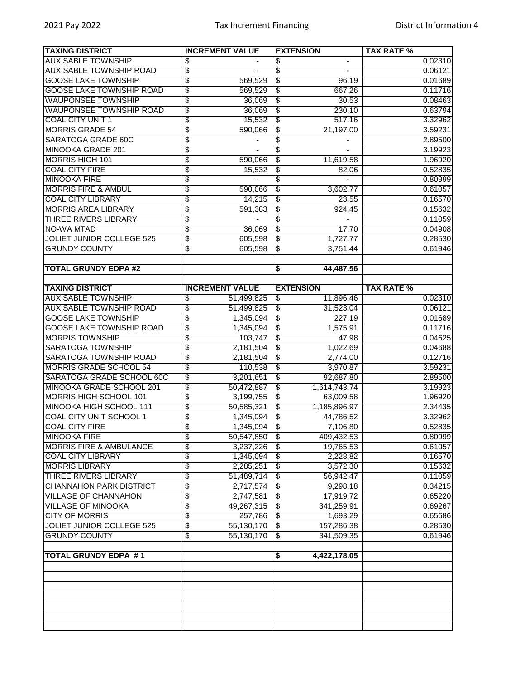| <b>TAXING DISTRICT</b>             | <b>INCREMENT VALUE</b>       | <b>EXTENSION</b>                             | <b>TAX RATE %</b> |
|------------------------------------|------------------------------|----------------------------------------------|-------------------|
| <b>AUX SABLE TOWNSHIP</b>          | \$                           | \$                                           | 0.02310           |
| <b>AUX SABLE TOWNSHIP ROAD</b>     | \$                           | $\overline{\$}$                              | 0.06121           |
| <b>GOOSE LAKE TOWNSHIP</b>         | \$<br>569,529                | $\overline{\$}$<br>96.19                     | 0.01689           |
| <b>GOOSE LAKE TOWNSHIP ROAD</b>    | \$<br>569,529                | $\overline{\mathcal{E}}$<br>667.26           | 0.11716           |
| <b>WAUPONSEE TOWNSHIP</b>          | \$<br>36,069                 | $\overline{\mathfrak{s}}$<br>30.53           | 0.08463           |
| <b>WAUPONSEE TOWNSHIP ROAD</b>     | \$<br>36,069                 | \$<br>230.10                                 | 0.63794           |
| <b>COAL CITY UNIT 1</b>            | 15,532                       | 517.16<br>$\overline{\mathbf{e}}$            | 3.32962           |
|                                    | \$                           |                                              |                   |
| <b>MORRIS GRADE 54</b>             | \$<br>590,066                | $\overline{\$}$<br>21,197.00                 | 3.59231           |
| <b>SARATOGA GRADE 60C</b>          | \$                           | $\overline{\$}$                              | 2.89500           |
| <b>MINOOKA GRADE 201</b>           | \$                           | $\overline{\$}$                              | 3.19923           |
| <b>MORRIS HIGH 101</b>             | \$<br>590,066                | $\sqrt[6]{3}$<br>11,619.58                   | 1.96920           |
| <b>COAL CITY FIRE</b>              | \$<br>15,532                 | $\overline{\mathfrak{s}}$<br>82.06           | 0.52835           |
| <b>MINOOKA FIRE</b>                | \$                           | $\overline{\$}$                              | 0.80999           |
| <b>MORRIS FIRE &amp; AMBUL</b>     | \$<br>590,066                | $\overline{\$}$<br>3,602.77                  | 0.61057           |
| <b>COAL CITY LIBRARY</b>           | \$<br>14,215                 | $\overline{\mathcal{E}}$<br>23.55            | 0.16570           |
| <b>MORRIS AREA LIBRARY</b>         | \$<br>591,383                | $\overline{\mathfrak{s}}$<br>924.45          | 0.15632           |
| <b>THREE RIVERS LIBRARY</b>        | \$                           | $\overline{\$}$                              | 0.11059           |
| <b>NO-WA MTAD</b>                  | \$<br>36,069                 | $\sqrt[6]{3}$<br>17.70                       | 0.04908           |
| <b>JOLIET JUNIOR COLLEGE 525</b>   | 605,598                      |                                              |                   |
|                                    | \$                           | 1,727.77<br>$\overline{\$}$                  | 0.28530           |
| <b>GRUNDY COUNTY</b>               | \$<br>605,598                | $\overline{\$}$<br>3,751.44                  | 0.61946           |
|                                    |                              |                                              |                   |
| <b>TOTAL GRUNDY EDPA #2</b>        |                              | \$<br>44,487.56                              |                   |
|                                    |                              |                                              |                   |
| <b>TAXING DISTRICT</b>             | <b>INCREMENT VALUE</b>       | <b>EXTENSION</b>                             | <b>TAX RATE %</b> |
| <b>AUX SABLE TOWNSHIP</b>          | \$<br>51,499,825             | 11,896.46<br>\$                              | 0.02310           |
| <b>AUX SABLE TOWNSHIP ROAD</b>     | \$<br>51,499,825             | 31,523.04<br>$\overline{\mathbf{3}}$         | 0.06121           |
| <b>GOOSE LAKE TOWNSHIP</b>         | \$<br>1,345,094              | $\overline{\$}$<br>227.19                    | 0.01689           |
| <b>GOOSE LAKE TOWNSHIP ROAD</b>    | \$<br>1,345,094              | $\overline{\$}$<br>1,575.91                  | 0.11716           |
| <b>MORRIS TOWNSHIP</b>             | \$<br>103,747                | $\boldsymbol{\mathsf{S}}$<br>47.98           | 0.04625           |
| <b>SARATOGA TOWNSHIP</b>           | \$<br>2,181,504              | $\overline{\mathfrak{s}}$<br>1,022.69        | 0.04688           |
| <b>SARATOGA TOWNSHIP ROAD</b>      |                              |                                              | 0.12716           |
|                                    | \$<br>2,181,504              | $\overline{\$}$<br>2,774.00                  |                   |
| <b>MORRIS GRADE SCHOOL 54</b>      | \$<br>110,538                | $\overline{\boldsymbol{\theta}}$<br>3,970.87 | 3.59231           |
| SARATOGA GRADE SCHOOL 60C          | \$<br>3,201,651              | $\overline{\$}$<br>92,687.80                 | 2.89500           |
| <b>MINOOKA GRADE SCHOOL 201</b>    | \$<br>50,472,887             | $\overline{\$}$<br>1,614,743.74              | 3.19923           |
| <b>MORRIS HIGH SCHOOL 101</b>      | \$<br>3,199,755              | $\overline{\mathcal{E}}$<br>63,009.58        | 1.96920           |
| MINOOKA HIGH SCHOOL 111            | \$<br>50,585,321             | $\sqrt[6]{\frac{2}{5}}$<br>1,185,896.97      | 2.34435           |
| <b>COAL CITY UNIT SCHOOL 1</b>     | \$<br>1,345,094              | $\overline{\mathfrak{s}}$<br>44,786.52       | 3.32962           |
| <b>COAL CITY FIRE</b>              | \$<br>1,345,094              | \$<br>7,106.80                               | 0.52835           |
| <b>MINOOKA FIRE</b>                | \$<br>50,547,850             | \$<br>409,432.53                             | 0.80999           |
| <b>MORRIS FIRE &amp; AMBULANCE</b> | \$<br>3,237,226              | \$<br>19,765.53                              | 0.61057           |
| <b>COAL CITY LIBRARY</b>           | \$<br>1,345,094              | \$<br>2,228.82                               | 0.16570           |
| <b>MORRIS LIBRARY</b>              | \$<br>2,285,251              | $\overline{\$}$<br>3,572.30                  | 0.15632           |
| <b>THREE RIVERS LIBRARY</b>        | \$<br>51,489,714             | 56,942.47<br>\$                              | 0.11059           |
| <b>CHANNAHON PARK DISTRICT</b>     | 2,717,574                    | 9,298.18                                     | 0.34215           |
|                                    | \$                           | \$                                           |                   |
| <b>VILLAGE OF CHANNAHON</b>        | $\overline{\$}$<br>2,747,581 | 17,919.72<br>\$                              | 0.65220           |
| <b>VILLAGE OF MINOOKA</b>          | \$<br>49,267,315             | $\overline{\$}$<br>341,259.91                | 0.69267           |
| <b>CITY OF MORRIS</b>              | \$<br>257,786                | \$<br>1,693.29                               | 0.65686           |
| <b>JOLIET JUNIOR COLLEGE 525</b>   | \$<br>55,130,170             | 157,286.38<br>$\overline{\mathcal{S}}$       | 0.28530           |
| <b>GRUNDY COUNTY</b>               | \$<br>55,130,170             | $\overline{\$}$<br>341,509.35                | 0.61946           |
|                                    |                              |                                              |                   |
| <b>TOTAL GRUNDY EDPA #1</b>        |                              | 4,422,178.05<br>\$                           |                   |
|                                    |                              |                                              |                   |
|                                    |                              |                                              |                   |
|                                    |                              |                                              |                   |
|                                    |                              |                                              |                   |
|                                    |                              |                                              |                   |
|                                    |                              |                                              |                   |
|                                    |                              |                                              |                   |
|                                    |                              |                                              |                   |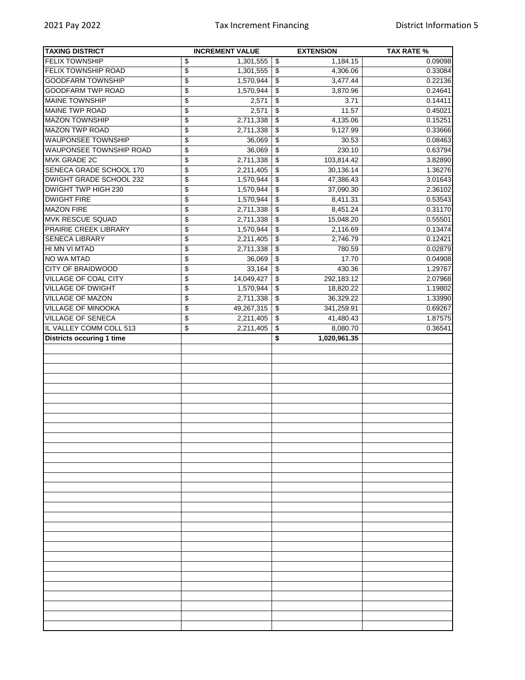| <b>TAXING DISTRICT</b>                              | <b>INCREMENT VALUE</b>                | <b>EXTENSION</b>                    | <b>TAX RATE %</b> |
|-----------------------------------------------------|---------------------------------------|-------------------------------------|-------------------|
| <b>FELIX TOWNSHIP</b>                               | \$<br>1,301,555                       | $\overline{\mathbf{e}}$<br>1,184.15 | 0.09098           |
| FELIX TOWNSHIP ROAD                                 | $\overline{\$}$<br>1,301,555          | \$<br>4,306.06                      | 0.33084           |
| <b>GOODFARM TOWNSHIP</b>                            | \$<br>1,570,944                       | \$<br>3,477.44                      | 0.22136           |
| <b>GOODFARM TWP ROAD</b>                            | \$<br>1,570,944                       | 3,870.96<br>\$                      | 0.24641           |
| <b>MAINE TOWNSHIP</b>                               | \$<br>2,571                           | 3.71<br>\$                          | 0.14411           |
| <b>MAINE TWP ROAD</b>                               | \$<br>2,571                           | \$<br>11.57                         | 0.45021           |
| <b>MAZON TOWNSHIP</b>                               | \$<br>2,711,338                       | \$<br>4,135.06                      | 0.15251           |
| <b>MAZON TWP ROAD</b>                               | \$<br>2,711,338                       | 9,127.99<br>\$                      | 0.33666           |
| <b>WAUPONSEE TOWNSHIP</b>                           | \$<br>36,069                          | 30.53<br>\$                         | 0.08463           |
| <b>WAUPONSEE TOWNSHIP ROAD</b>                      | \$<br>36,069                          | 230.10<br>\$                        | 0.63794           |
| MVK GRADE 2C                                        | \$<br>2,711,338                       | 103,814.42<br>\$                    | 3.82890           |
| SENECA GRADE SCHOOL 170                             | \$<br>2,211,405                       | \$<br>30,136.14                     | 1.36276           |
| DWIGHT GRADE SCHOOL 232                             | $\overline{\$}$<br>1,570,944          | \$<br>47,386.43                     | 3.01643           |
| <b>DWIGHT TWP HIGH 230</b>                          | \$<br>1,570,944                       | \$<br>37,090.30                     | 2.36102           |
| <b>DWIGHT FIRE</b>                                  | \$<br>1,570,944                       | \$<br>8,411.31                      | 0.53543           |
| <b>MAZON FIRE</b>                                   | \$<br>2,711,338                       | 8,451.24<br>\$                      | 0.31170           |
| <b>MVK RESCUE SQUAD</b>                             | $\overline{\$}$<br>2,711,338          | \$<br>15,048.20                     | 0.55501           |
| PRAIRIE CREEK LIBRARY                               | \$<br>1,570,944                       | \$<br>2,116.69                      | 0.13474           |
| <b>SENECA LIBRARY</b>                               | \$<br>2,211,405                       | \$<br>2,746.79                      | 0.12421           |
| HI MN VI MTAD                                       | $\overline{\$}$<br>2,711,338          | \$<br>780.59                        | 0.02879           |
| NO WA MTAD                                          | \$<br>36,069                          | \$<br>17.70                         | 0.04908           |
| <b>CITY OF BRAIDWOOD</b>                            | \$<br>33,164                          | \$<br>430.36                        | 1.29767           |
| <b>VILLAGE OF COAL CITY</b>                         | \$<br>14,049,427                      | 292,183.12<br>\$                    | 2.07968           |
| <b>VILLAGE OF DWIGHT</b>                            | $\overline{\$}$<br>1,570,944          | 18,820.22<br>\$                     | 1.19802           |
| <b>VILLAGE OF MAZON</b>                             | $\overline{\mathcal{L}}$<br>2,711,338 | 36,329.22                           | 1.33990           |
| VILLAGE OF MINOOKA                                  | \$<br>49,267,315                      | \$<br>341,259.91                    | 0.69267           |
|                                                     |                                       | \$                                  |                   |
| <b>VILLAGE OF SENECA</b><br>IL VALLEY COMM COLL 513 | $\overline{\$}$<br>2,211,405          | \$<br>41,480.43                     | 1.87575           |
| <b>Districts occuring 1 time</b>                    | $\overline{\mathcal{L}}$<br>2,211,405 | 8,080.70<br>\$                      | 0.36541           |
|                                                     |                                       | 1,020,961.35<br>\$                  |                   |
|                                                     |                                       |                                     |                   |
|                                                     |                                       |                                     |                   |
|                                                     |                                       |                                     |                   |
|                                                     |                                       |                                     |                   |
|                                                     |                                       |                                     |                   |
|                                                     |                                       |                                     |                   |
|                                                     |                                       |                                     |                   |
|                                                     |                                       |                                     |                   |
|                                                     |                                       |                                     |                   |
|                                                     |                                       |                                     |                   |
|                                                     |                                       |                                     |                   |
|                                                     |                                       |                                     |                   |
|                                                     |                                       |                                     |                   |
|                                                     |                                       |                                     |                   |
|                                                     |                                       |                                     |                   |
|                                                     |                                       |                                     |                   |
|                                                     |                                       |                                     |                   |
|                                                     |                                       |                                     |                   |
|                                                     |                                       |                                     |                   |
|                                                     |                                       |                                     |                   |
|                                                     |                                       |                                     |                   |
|                                                     |                                       |                                     |                   |
|                                                     |                                       |                                     |                   |
|                                                     |                                       |                                     |                   |
|                                                     |                                       |                                     |                   |
|                                                     |                                       |                                     |                   |
|                                                     |                                       |                                     |                   |
|                                                     |                                       |                                     |                   |
|                                                     |                                       |                                     |                   |
|                                                     |                                       |                                     |                   |